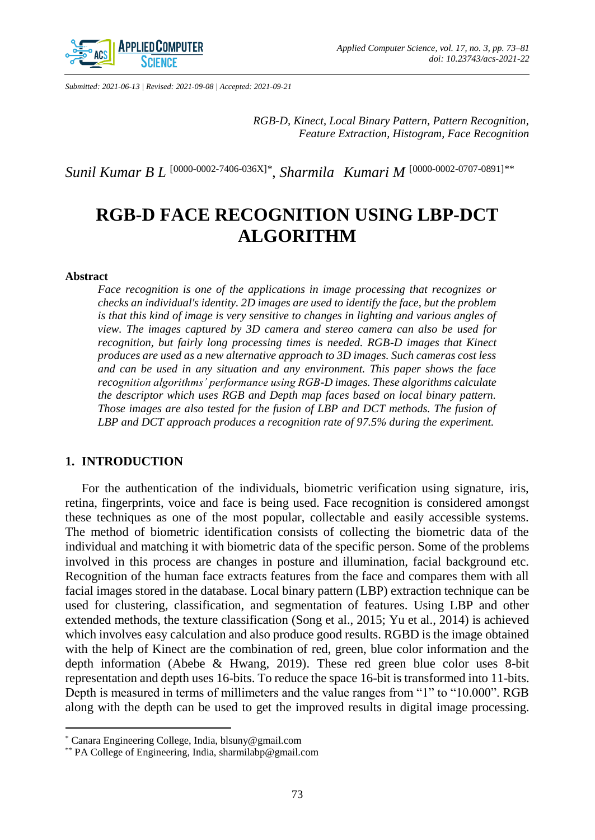

*Submitted: 2021-06-13 | Revised: 2021-09-08 | Accepted: 2021-09-21*

*RGB-D, Kinect, Local Binary Pattern, Pattern Recognition, Feature Extraction, Histogram, Face Recognition*

*Sunil Kumar B L* [\[0000-0002-7406-036X\]](https://orcid.org/0000-0002-7406-036X)*\* , Sharmila Kumari M* [\[0000-0002-0707-0891\]](https://orcid.org/0000-0002-0707-0891)*\*\**

# **RGB-D FACE RECOGNITION USING LBP-DCT ALGORITHM**

#### **Abstract**

 $\overline{\phantom{a}}$ 

*Face recognition is one of the applications in image processing that recognizes or checks an individual's identity. 2D images are used to identify the face, but the problem is that this kind of image is very sensitive to changes in lighting and various angles of view. The images captured by 3D camera and stereo camera can also be used for recognition, but fairly long processing times is needed. RGB-D images that Kinect produces are used as a new alternative approach to 3D images. Such cameras cost less and can be used in any situation and any environment. This paper shows the face recognition algorithms' performance using RGB-D images. These algorithms calculate the descriptor which uses RGB and Depth map faces based on local binary pattern. Those images are also tested for the fusion of LBP and DCT methods. The fusion of LBP and DCT approach produces a recognition rate of 97.5% during the experiment.*

## **1. INTRODUCTION**

For the authentication of the individuals, biometric verification using signature, iris, retina, fingerprints, voice and face is being used. Face recognition is considered amongst these techniques as one of the most popular, collectable and easily accessible systems. The method of biometric identification consists of collecting the biometric data of the individual and matching it with biometric data of the specific person. Some of the problems involved in this process are changes in posture and illumination, facial background etc. Recognition of the human face extracts features from the face and compares them with all facial images stored in the database. Local binary pattern (LBP) extraction technique can be used for clustering, classification, and segmentation of features. Using LBP and other extended methods, the texture classification (Song et al., 2015; Yu et al., 2014) is achieved which involves easy calculation and also produce good results. RGBD is the image obtained with the help of Kinect are the combination of red, green, blue color information and the depth information (Abebe & Hwang, 2019). These red green blue color uses 8-bit representation and depth uses 16-bits. To reduce the space 16-bit is transformed into 11-bits. Depth is measured in terms of millimeters and the value ranges from "1" to "10.000". RGB along with the depth can be used to get the improved results in digital image processing.

<sup>\*</sup> Canara Engineering College, India, blsuny@gmail.com

<sup>\*\*</sup> PA College of Engineering, India, sharmilabp@gmail.com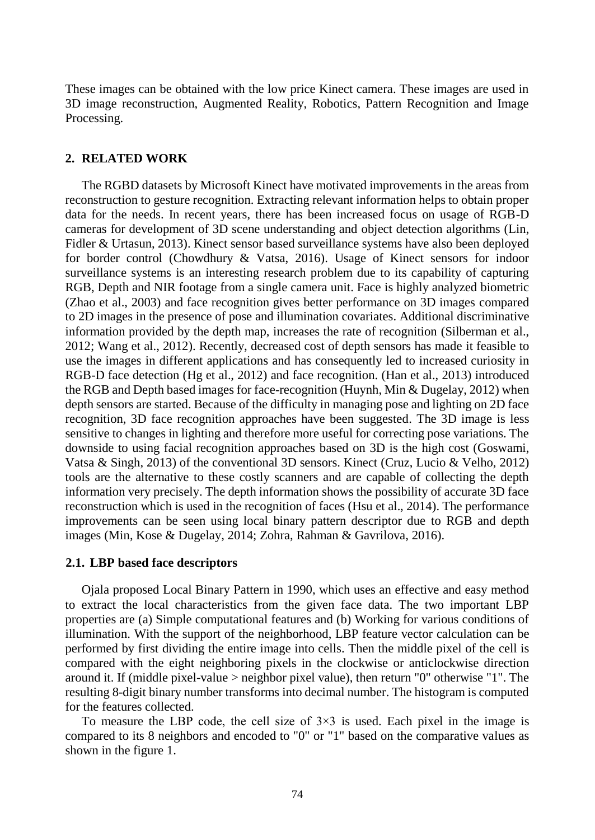These images can be obtained with the low price Kinect camera. These images are used in 3D image reconstruction, Augmented Reality, Robotics, Pattern Recognition and Image Processing.

## **2. RELATED WORK**

The RGBD datasets by Microsoft Kinect have motivated improvements in the areas from reconstruction to gesture recognition. Extracting relevant information helps to obtain proper data for the needs. In recent years, there has been increased focus on usage of RGB-D cameras for development of 3D scene understanding and object detection algorithms (Lin, Fidler & Urtasun, 2013). Kinect sensor based surveillance systems have also been deployed for border control (Chowdhury & Vatsa, 2016). Usage of Kinect sensors for indoor surveillance systems is an interesting research problem due to its capability of capturing RGB, Depth and NIR footage from a single camera unit. Face is highly analyzed biometric (Zhao et al., 2003) and face recognition gives better performance on 3D images compared to 2D images in the presence of pose and illumination covariates. Additional discriminative information provided by the depth map, increases the rate of recognition (Silberman et al., 2012; Wang et al., 2012). Recently, decreased cost of depth sensors has made it feasible to use the images in different applications and has consequently led to increased curiosity in RGB-D face detection (Hg et al., 2012) and face recognition. (Han et al., 2013) introduced the RGB and Depth based images for face-recognition (Huynh, Min & Dugelay, 2012) when depth sensors are started. Because of the difficulty in managing pose and lighting on 2D face recognition, 3D face recognition approaches have been suggested. The 3D image is less sensitive to changes in lighting and therefore more useful for correcting pose variations. The downside to using facial recognition approaches based on 3D is the high cost (Goswami, Vatsa & Singh, 2013) of the conventional 3D sensors. Kinect (Cruz, Lucio & Velho, 2012) tools are the alternative to these costly scanners and are capable of collecting the depth information very precisely. The depth information shows the possibility of accurate 3D face reconstruction which is used in the recognition of faces (Hsu et al., 2014). The performance improvements can be seen using local binary pattern descriptor due to RGB and depth images (Min, Kose & Dugelay, 2014; Zohra, Rahman & Gavrilova, 2016).

## **2.1. LBP based face descriptors**

Ojala proposed Local Binary Pattern in 1990, which uses an effective and easy method to extract the local characteristics from the given face data. The two important LBP properties are (a) Simple computational features and (b) Working for various conditions of illumination. With the support of the neighborhood, LBP feature vector calculation can be performed by first dividing the entire image into cells. Then the middle pixel of the cell is compared with the eight neighboring pixels in the clockwise or anticlockwise direction around it. If (middle pixel-value > neighbor pixel value), then return "0" otherwise "1". The resulting 8-digit binary number transforms into decimal number. The histogram is computed for the features collected.

To measure the LBP code, the cell size of  $3\times3$  is used. Each pixel in the image is compared to its 8 neighbors and encoded to "0" or "1" based on the comparative values as shown in the figure 1.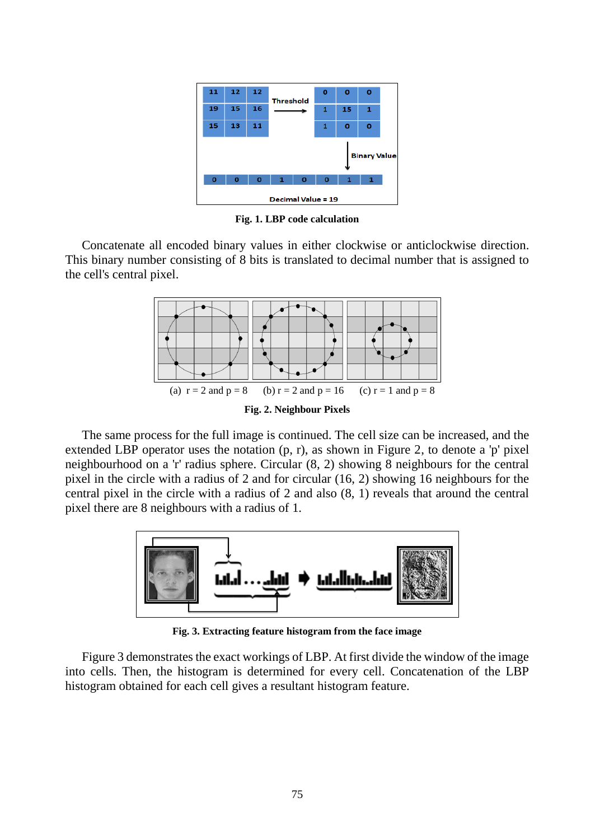| 11                  | 12       | 12           | <b>Threshold</b> | o             | o        | o            |  |  |  |  |
|---------------------|----------|--------------|------------------|---------------|----------|--------------|--|--|--|--|
| 19                  | 15       | 16           |                  | 1             | 15       | $\mathbf{1}$ |  |  |  |  |
| 15                  | 13       | 11           |                  | 1             | $\bf{o}$ | $\bf{o}$     |  |  |  |  |
| <b>Binary Value</b> |          |              |                  |               |          |              |  |  |  |  |
| $\mathbf o$         | $\bf{o}$ | $\mathbf{o}$ | 1                | Ō<br>$\bf{o}$ | 1        | 1            |  |  |  |  |
| Decimal Value = 19  |          |              |                  |               |          |              |  |  |  |  |

**Fig. 1. LBP code calculation**

Concatenate all encoded binary values in either clockwise or anticlockwise direction. This binary number consisting of 8 bits is translated to decimal number that is assigned to the cell's central pixel.



The same process for the full image is continued. The cell size can be increased, and the extended LBP operator uses the notation (p, r), as shown in Figure 2, to denote a 'p' pixel neighbourhood on a 'r' radius sphere. Circular (8, 2) showing 8 neighbours for the central pixel in the circle with a radius of 2 and for circular (16, 2) showing 16 neighbours for the central pixel in the circle with a radius of 2 and also (8, 1) reveals that around the central pixel there are 8 neighbours with a radius of 1.



**Fig. 3. Extracting feature histogram from the face image**

Figure 3 demonstrates the exact workings of LBP. At first divide the window of the image into cells. Then, the histogram is determined for every cell. Concatenation of the LBP histogram obtained for each cell gives a resultant histogram feature.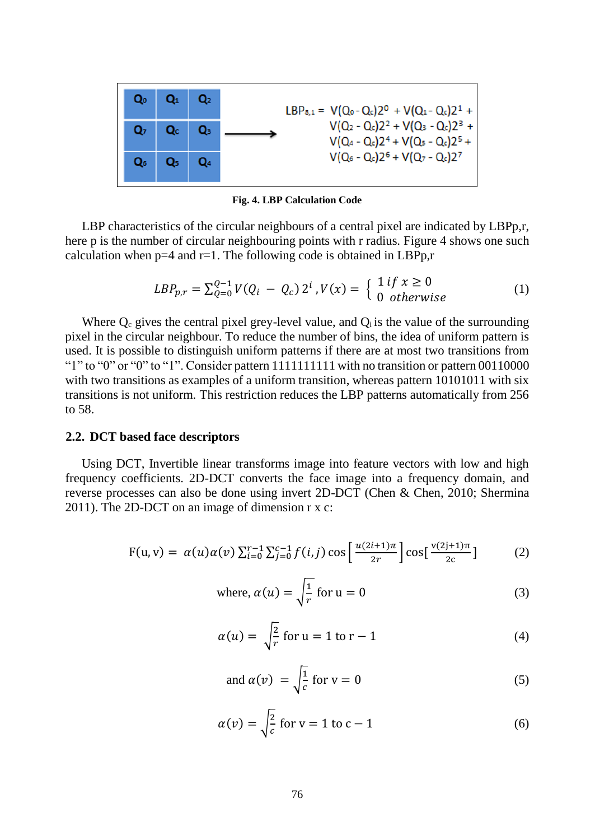

**Fig. 4. LBP Calculation Code**

LBP characteristics of the circular neighbours of a central pixel are indicated by LBPp.r, here p is the number of circular neighbouring points with r radius. Figure 4 shows one such calculation when  $p=4$  and  $r=1$ . The following code is obtained in LBPp,r

$$
LBP_{p,r} = \sum_{Q=0}^{Q-1} V(Q_i - Q_c) 2^i, V(x) = \begin{cases} 1 & \text{if } x \ge 0 \\ 0 & \text{otherwise} \end{cases}
$$
 (1)

Where  $Q_c$  gives the central pixel grey-level value, and  $Q_i$  is the value of the surrounding pixel in the circular neighbour. To reduce the number of bins, the idea of uniform pattern is used. It is possible to distinguish uniform patterns if there are at most two transitions from "1" to "0" or "0" to "1". Consider pattern  $111111111$  with no transition or pattern 00110000 with two transitions as examples of a uniform transition, whereas pattern 10101011 with six transitions is not uniform. This restriction reduces the LBP patterns automatically from 256 to 58.

### **2.2. DCT based face descriptors**

Using DCT, Invertible linear transforms image into feature vectors with low and high frequency coefficients. 2D-DCT converts the face image into a frequency domain, and reverse processes can also be done using invert 2D-DCT (Chen & Chen, 2010; Shermina 2011). The 2D-DCT on an image of dimension r x c:

$$
F(u, v) = \alpha(u)\alpha(v) \sum_{i=0}^{r-1} \sum_{j=0}^{c-1} f(i, j) \cos\left[\frac{u(2i+1)\pi}{2r}\right] \cos\left[\frac{v(2j+1)\pi}{2c}\right]
$$
 (2)

where, 
$$
\alpha(u) = \sqrt{\frac{1}{r}}
$$
 for  $u = 0$  (3)

$$
\alpha(u) = \sqrt{\frac{2}{r}} \text{ for } u = 1 \text{ to } r - 1 \tag{4}
$$

and 
$$
\alpha(v) = \sqrt{\frac{1}{c}}
$$
 for  $v = 0$  (5)

$$
\alpha(v) = \sqrt{\frac{2}{c}} \text{ for } v = 1 \text{ to } c - 1 \tag{6}
$$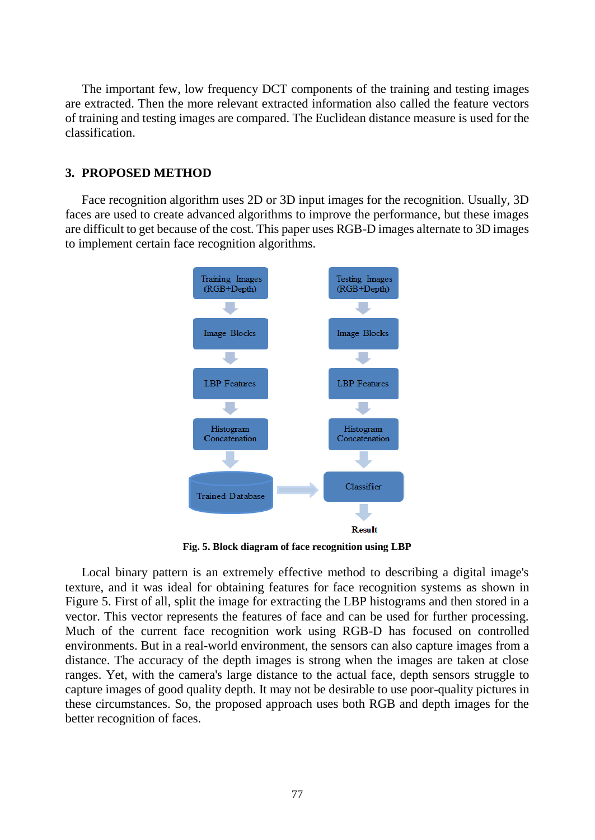The important few, low frequency DCT components of the training and testing images are extracted. Then the more relevant extracted information also called the feature vectors of training and testing images are compared. The Euclidean distance measure is used for the classification.

## **3. PROPOSED METHOD**

Face recognition algorithm uses 2D or 3D input images for the recognition. Usually, 3D faces are used to create advanced algorithms to improve the performance, but these images are difficult to get because of the cost. This paper uses RGB-D images alternate to 3D images to implement certain face recognition algorithms.



**Fig. 5. Block diagram of face recognition using LBP**

Local binary pattern is an extremely effective method to describing a digital image's texture, and it was ideal for obtaining features for face recognition systems as shown in Figure 5. First of all, split the image for extracting the LBP histograms and then stored in a vector. This vector represents the features of face and can be used for further processing. Much of the current face recognition work using RGB-D has focused on controlled environments. But in a real-world environment, the sensors can also capture images from a distance. The accuracy of the depth images is strong when the images are taken at close ranges. Yet, with the camera's large distance to the actual face, depth sensors struggle to capture images of good quality depth. It may not be desirable to use poor-quality pictures in these circumstances. So, the proposed approach uses both RGB and depth images for the better recognition of faces.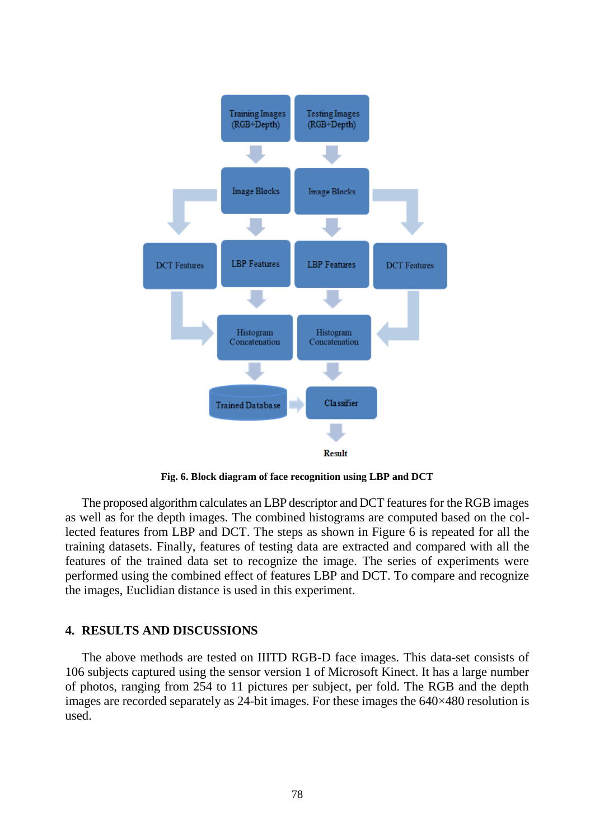

**Fig. 6. Block diagram of face recognition using LBP and DCT**

The proposed algorithm calculates an LBP descriptor and DCT features for the RGB images as well as for the depth images. The combined histograms are computed based on the collected features from LBP and DCT. The steps as shown in Figure 6 is repeated for all the training datasets. Finally, features of testing data are extracted and compared with all the features of the trained data set to recognize the image. The series of experiments were performed using the combined effect of features LBP and DCT. To compare and recognize the images, Euclidian distance is used in this experiment.

## **4. RESULTS AND DISCUSSIONS**

The above methods are tested on IIITD RGB-D face images. This data-set consists of 106 subjects captured using the sensor version 1 of Microsoft Kinect. It has a large number of photos, ranging from 254 to 11 pictures per subject, per fold. The RGB and the depth images are recorded separately as 24-bit images. For these images the 640×480 resolution is used.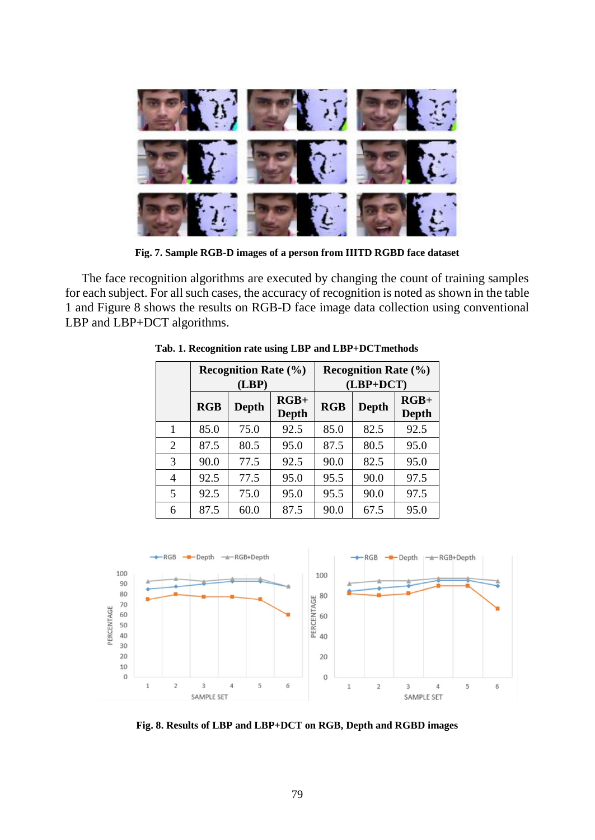

**Fig. 7. Sample RGB-D images of a person from IIITD RGBD face dataset**

The face recognition algorithms are executed by changing the count of training samples for each subject. For all such cases, the accuracy of recognition is noted as shown in the table 1 and Figure 8 shows the results on RGB-D face image data collection using conventional LBP and LBP+DCT algorithms.

|                |      | <b>Recognition Rate</b> $(\% )$<br>(LBP) |                 | <b>Recognition Rate (%)</b><br>$(LBP+DCT)$ |       |                 |  |
|----------------|------|------------------------------------------|-----------------|--------------------------------------------|-------|-----------------|--|
|                | RGB  | <b>Depth</b>                             | $RGB+$<br>Depth | <b>RGB</b>                                 | Depth | $RGB+$<br>Depth |  |
|                | 85.0 | 75.0                                     | 92.5            | 85.0                                       | 82.5  | 92.5            |  |
| 2              | 87.5 | 80.5                                     | 95.0            | 87.5                                       | 80.5  | 95.0            |  |
| 3              | 90.0 | 77.5                                     | 92.5            | 90.0                                       | 82.5  | 95.0            |  |
| $\overline{4}$ | 92.5 | 77.5                                     | 95.0            | 95.5                                       | 90.0  | 97.5            |  |
| 5              | 92.5 | 75.0                                     | 95.0            | 95.5                                       | 90.0  | 97.5            |  |
| 6              | 87.5 | 60.0                                     | 87.5            | 90.0                                       | 67.5  | 95.0            |  |

**Tab. 1. Recognition rate using LBP and LBP+DCTmethods**



**Fig. 8. Results of LBP and LBP+DCT on RGB, Depth and RGBD images**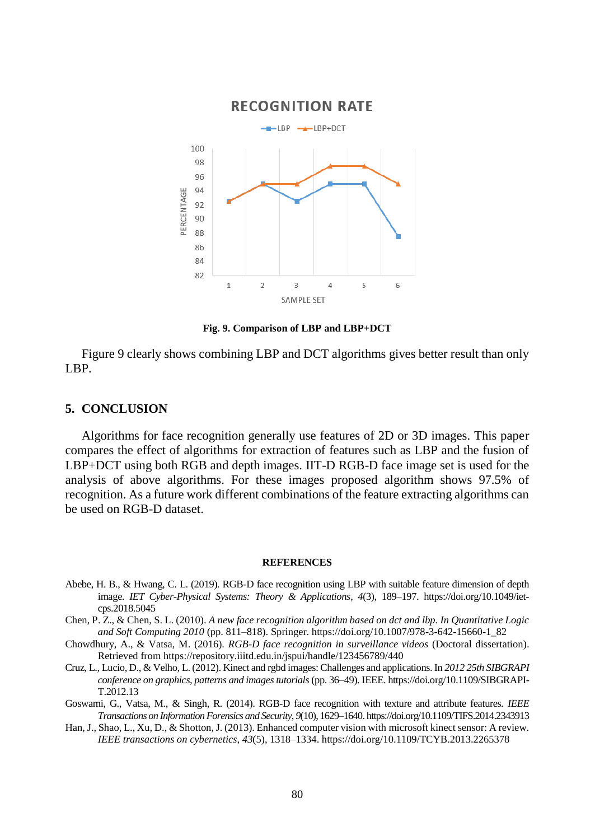

**Fig. 9. Comparison of LBP and LBP+DCT**

Figure 9 clearly shows combining LBP and DCT algorithms gives better result than only LBP.

## **5. CONCLUSION**

Algorithms for face recognition generally use features of 2D or 3D images. This paper compares the effect of algorithms for extraction of features such as LBP and the fusion of LBP+DCT using both RGB and depth images. IIT-D RGB-D face image set is used for the analysis of above algorithms. For these images proposed algorithm shows 97.5% of recognition. As a future work different combinations of the feature extracting algorithms can be used on RGB-D dataset.

#### **REFERENCES**

- Abebe, H. B., & Hwang, C. L. (2019). RGB-D face recognition using LBP with suitable feature dimension of depth image. *IET Cyber-Physical Systems: Theory & Applications*, *4*(3), 189–197. https://doi.org/10.1049/ietcps.2018.5045
- Chen, P. Z., & Chen, S. L. (2010). *A new face recognition algorithm based on dct and lbp. In Quantitative Logic and Soft Computing 2010* (pp. 811–818). Springer. https://doi.org/10.1007/978-3-642-15660-1\_82
- Chowdhury, A., & Vatsa, M. (2016). *RGB-D face recognition in surveillance videos* (Doctoral dissertation). Retrieved from https://repository.iiitd.edu.in/jspui/handle/123456789/440
- Cruz, L., Lucio, D., & Velho, L. (2012). Kinect and rgbd images: Challenges and applications. In *2012 25th SIBGRAPI conference on graphics, patterns and images tutorials*(pp. 36–49). IEEE. https://doi.org/10.1109/SIBGRAPI-T.2012.13
- Goswami, G., Vatsa, M., & Singh, R. (2014). RGB-D face recognition with texture and attribute features*. IEEE Transactions on Information Forensics and Security*, *9*(10), 1629–1640. https://doi.org/10.1109/TIFS.2014.2343913
- Han, J., Shao, L., Xu, D., & Shotton, J. (2013). Enhanced computer vision with microsoft kinect sensor: A review. *IEEE transactions on cybernetics*, *43*(5), 1318–1334. https://doi.org/10.1109/TCYB.2013.2265378